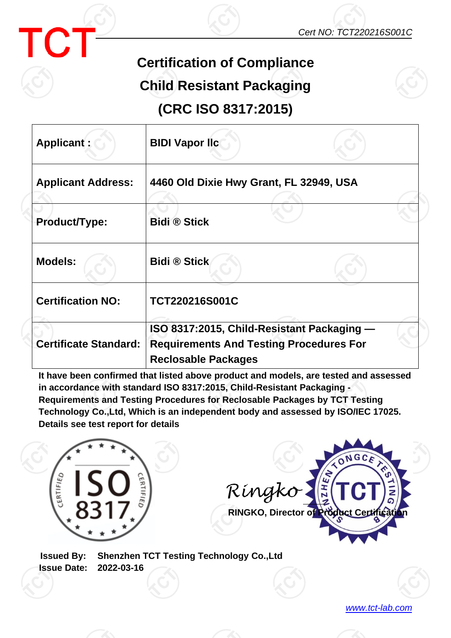



## **Certification of Compliance**

## **Child Resistant Packaging**

**(CRC ISO 8317:2015)**

| Applicant:                   | <b>BIDI Vapor Ilc</b>                                                                                                      |  |
|------------------------------|----------------------------------------------------------------------------------------------------------------------------|--|
| <b>Applicant Address:</b>    | 4460 Old Dixie Hwy Grant, FL 32949, USA                                                                                    |  |
| Product/Type:                | <b>Bidi ® Stick</b>                                                                                                        |  |
| <b>Models:</b>               | <b>Bidi ® Stick</b>                                                                                                        |  |
| <b>Certification NO:</b>     | TCT220216S001C                                                                                                             |  |
| <b>Certificate Standard:</b> | ISO 8317:2015, Child-Resistant Packaging -<br><b>Requirements And Testing Procedures For</b><br><b>Reclosable Packages</b> |  |

**It have been confirmed that listed above product and models, are tested and assessed in accordance with standard ISO 8317:2015, Child-Resistant Packaging - Requirements and Testing Procedures for Reclosable Packages by TCT Testing Technology Co.,Ltd, Which is an independent body and assessed by ISO/IEC 17025. Details see test report for details**